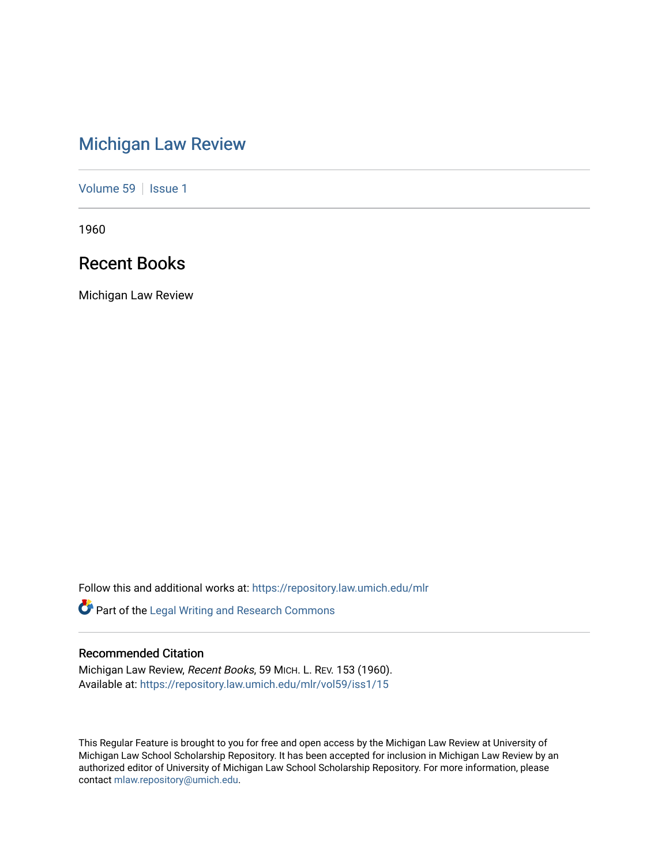# [Michigan Law Review](https://repository.law.umich.edu/mlr)

[Volume 59](https://repository.law.umich.edu/mlr/vol59) | [Issue 1](https://repository.law.umich.edu/mlr/vol59/iss1)

1960

# Recent Books

Michigan Law Review

Follow this and additional works at: [https://repository.law.umich.edu/mlr](https://repository.law.umich.edu/mlr?utm_source=repository.law.umich.edu%2Fmlr%2Fvol59%2Fiss1%2F15&utm_medium=PDF&utm_campaign=PDFCoverPages) 

Part of the [Legal Writing and Research Commons](http://network.bepress.com/hgg/discipline/614?utm_source=repository.law.umich.edu%2Fmlr%2Fvol59%2Fiss1%2F15&utm_medium=PDF&utm_campaign=PDFCoverPages) 

# Recommended Citation

Michigan Law Review, Recent Books, 59 MICH. L. REV. 153 (1960). Available at: [https://repository.law.umich.edu/mlr/vol59/iss1/15](https://repository.law.umich.edu/mlr/vol59/iss1/15?utm_source=repository.law.umich.edu%2Fmlr%2Fvol59%2Fiss1%2F15&utm_medium=PDF&utm_campaign=PDFCoverPages) 

This Regular Feature is brought to you for free and open access by the Michigan Law Review at University of Michigan Law School Scholarship Repository. It has been accepted for inclusion in Michigan Law Review by an authorized editor of University of Michigan Law School Scholarship Repository. For more information, please contact [mlaw.repository@umich.edu](mailto:mlaw.repository@umich.edu).